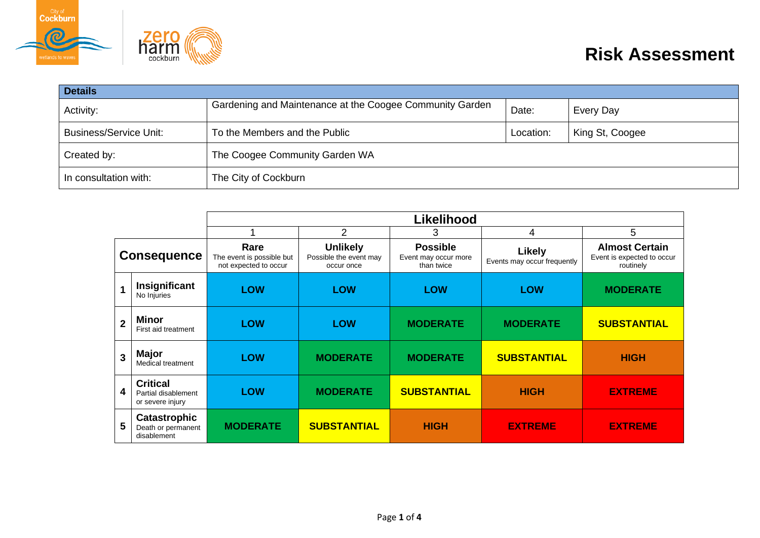



| <b>Details</b>                                                 |                                                          |           |                 |  |  |
|----------------------------------------------------------------|----------------------------------------------------------|-----------|-----------------|--|--|
| Activity:                                                      | Gardening and Maintenance at the Coogee Community Garden | Date:     | Every Day       |  |  |
| <b>Business/Service Unit:</b><br>To the Members and the Public |                                                          | Location: | King St, Coogee |  |  |
| Created by:                                                    | The Coogee Community Garden WA                           |           |                 |  |  |
| In consultation with:                                          | The City of Cockburn                                     |           |                 |  |  |

|                         |                                                            | <b>Likelihood</b>                                          |                                                         |                                                       |                                              |                                                                  |
|-------------------------|------------------------------------------------------------|------------------------------------------------------------|---------------------------------------------------------|-------------------------------------------------------|----------------------------------------------|------------------------------------------------------------------|
|                         |                                                            |                                                            | 2                                                       | 3                                                     | 4                                            | 5                                                                |
| <b>Consequence</b>      |                                                            | Rare<br>The event is possible but<br>not expected to occur | <b>Unlikely</b><br>Possible the event may<br>occur once | <b>Possible</b><br>Event may occur more<br>than twice | <b>Likely</b><br>Events may occur frequently | <b>Almost Certain</b><br>Event is expected to occur<br>routinely |
| $\overline{\mathbf{1}}$ | Insignificant<br>No Injuries                               | <b>LOW</b>                                                 | <b>LOW</b>                                              | <b>LOW</b>                                            | <b>LOW</b>                                   | <b>MODERATE</b>                                                  |
| $\overline{2}$          | <b>Minor</b><br>First aid treatment                        | <b>LOW</b>                                                 | <b>LOW</b>                                              | <b>MODERATE</b>                                       | <b>MODERATE</b>                              | <b>SUBSTANTIAL</b>                                               |
| $\overline{3}$          | Major<br>Medical treatment                                 | <b>LOW</b>                                                 | <b>MODERATE</b>                                         | <b>MODERATE</b>                                       | <b>SUBSTANTIAL</b>                           | <b>HIGH</b>                                                      |
| $\overline{\mathbf{4}}$ | <b>Critical</b><br>Partial disablement<br>or severe injury | <b>LOW</b>                                                 | <b>MODERATE</b>                                         | <b>SUBSTANTIAL</b>                                    | <b>HIGH</b>                                  | <b>EXTREME</b>                                                   |
| 5                       | Catastrophic<br>Death or permanent<br>disablement          | <b>MODERATE</b>                                            | <b>SUBSTANTIAL</b>                                      | <b>HIGH</b>                                           | <b>EXTREME</b>                               | <b>EXTREME</b>                                                   |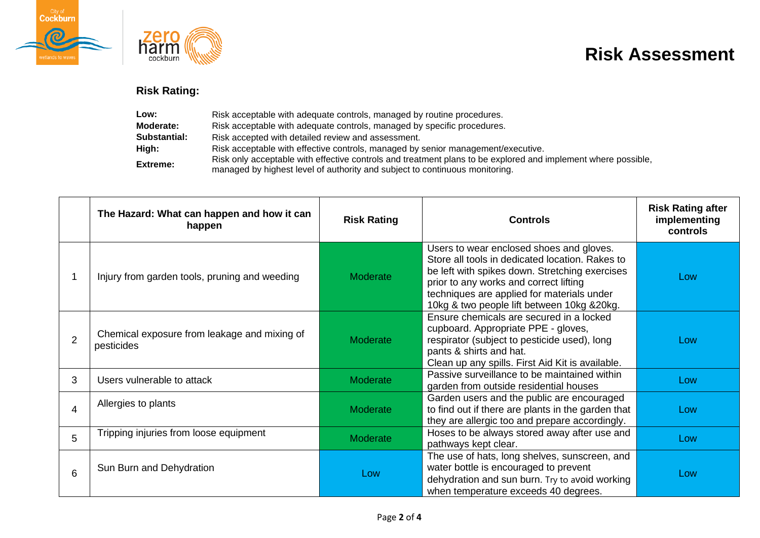



## **Risk Assessment**

## **Risk Rating:**

| Low:                | Risk acceptable with adequate controls, managed by routine procedures.                                                                                                                       |
|---------------------|----------------------------------------------------------------------------------------------------------------------------------------------------------------------------------------------|
| Moderate:           | Risk acceptable with adequate controls, managed by specific procedures.                                                                                                                      |
| <b>Substantial:</b> | Risk accepted with detailed review and assessment.                                                                                                                                           |
| High:               | Risk acceptable with effective controls, managed by senior management/executive.                                                                                                             |
| <b>Extreme:</b>     | Risk only acceptable with effective controls and treatment plans to be explored and implement where possible,<br>managed by highest level of authority and subject to continuous monitoring. |

|                | The Hazard: What can happen and how it can<br>happen       | <b>Risk Rating</b> | <b>Controls</b>                                                                                                                                                                                                                                                                      | <b>Risk Rating after</b><br>implementing<br>controls |
|----------------|------------------------------------------------------------|--------------------|--------------------------------------------------------------------------------------------------------------------------------------------------------------------------------------------------------------------------------------------------------------------------------------|------------------------------------------------------|
|                | Injury from garden tools, pruning and weeding              | Moderate           | Users to wear enclosed shoes and gloves.<br>Store all tools in dedicated location. Rakes to<br>be left with spikes down. Stretching exercises<br>prior to any works and correct lifting<br>techniques are applied for materials under<br>10kg & two people lift between 10kg & 20kg. | Low                                                  |
| $\overline{2}$ | Chemical exposure from leakage and mixing of<br>pesticides | Moderate           | Ensure chemicals are secured in a locked<br>cupboard. Appropriate PPE - gloves,<br>respirator (subject to pesticide used), long<br>pants & shirts and hat.<br>Clean up any spills. First Aid Kit is available.                                                                       | Low                                                  |
| 3              | Users vulnerable to attack                                 | Moderate           | Passive surveillance to be maintained within<br>garden from outside residential houses                                                                                                                                                                                               | Low                                                  |
| 4              | Allergies to plants                                        | Moderate           | Garden users and the public are encouraged<br>to find out if there are plants in the garden that<br>they are allergic too and prepare accordingly.                                                                                                                                   | Low                                                  |
| 5.             | Tripping injuries from loose equipment                     | Moderate           | Hoses to be always stored away after use and<br>pathways kept clear.                                                                                                                                                                                                                 | Low                                                  |
| 6              | Sun Burn and Dehydration                                   | Low                | The use of hats, long shelves, sunscreen, and<br>water bottle is encouraged to prevent<br>dehydration and sun burn. Try to avoid working<br>when temperature exceeds 40 degrees.                                                                                                     | Low                                                  |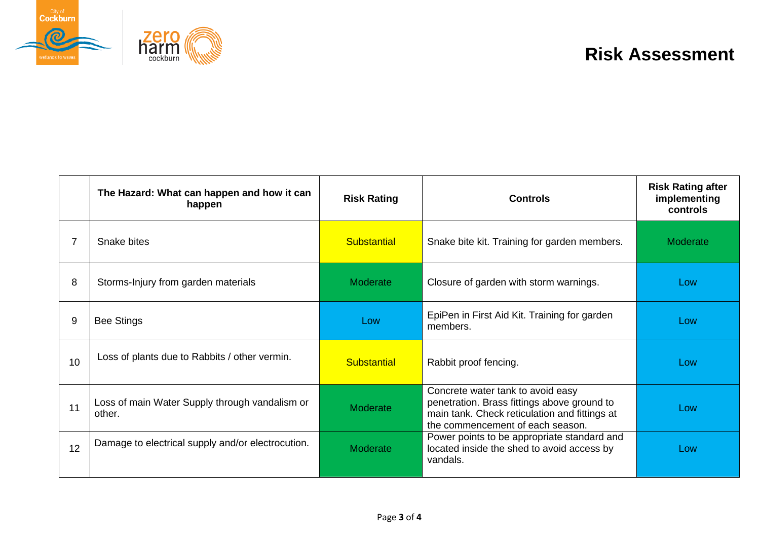



## **Risk Assessment**

|    | The Hazard: What can happen and how it can<br>happen     | <b>Risk Rating</b> | <b>Controls</b>                                                                                                                                                       | <b>Risk Rating after</b><br>implementing<br>controls |
|----|----------------------------------------------------------|--------------------|-----------------------------------------------------------------------------------------------------------------------------------------------------------------------|------------------------------------------------------|
|    | Snake bites                                              | <b>Substantial</b> | Snake bite kit. Training for garden members.                                                                                                                          | Moderate                                             |
| 8  | Storms-Injury from garden materials                      | Moderate           | Closure of garden with storm warnings.                                                                                                                                | Low                                                  |
| 9  | <b>Bee Stings</b>                                        | Low                | EpiPen in First Aid Kit. Training for garden<br>members.                                                                                                              | Low                                                  |
| 10 | Loss of plants due to Rabbits / other vermin.            | <b>Substantial</b> | Rabbit proof fencing.                                                                                                                                                 | Low                                                  |
| 11 | Loss of main Water Supply through vandalism or<br>other. | Moderate           | Concrete water tank to avoid easy<br>penetration. Brass fittings above ground to<br>main tank. Check reticulation and fittings at<br>the commencement of each season. | Low                                                  |
| 12 | Damage to electrical supply and/or electrocution.        | Moderate           | Power points to be appropriate standard and<br>located inside the shed to avoid access by<br>vandals.                                                                 | Low                                                  |